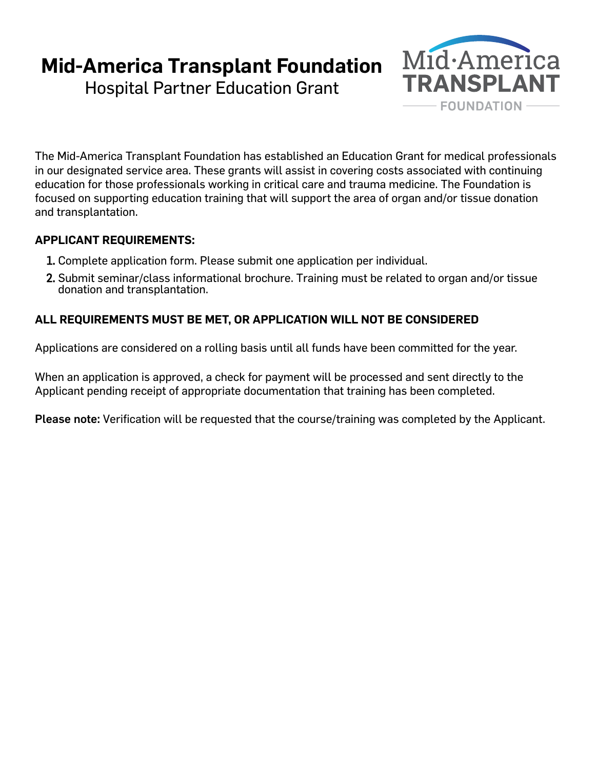## **Mid-America Transplant Foundation**

Hospital Partner Education Grant



The Mid-America Transplant Foundation has established an Education Grant for medical professionals in our designated service area. These grants will assist in covering costs associated with continuing education for those professionals working in critical care and trauma medicine. The Foundation is focused on supporting education training that will support the area of organ and/or tissue donation and transplantation.

## **APPLICANT REQUIREMENTS:**

- 1. Complete application form. Please submit one application per individual.
- 2. Submit seminar/class informational brochure. Training must be related to organ and/or tissue donation and transplantation.

## **ALL REQUIREMENTS MUST BE MET, OR APPLICATION WILL NOT BE CONSIDERED**

Applications are considered on a rolling basis until all funds have been committed for the year.

When an application is approved, a check for payment will be processed and sent directly to the Applicant pending receipt of appropriate documentation that training has been completed.

Please note: Verification will be requested that the course/training was completed by the Applicant.